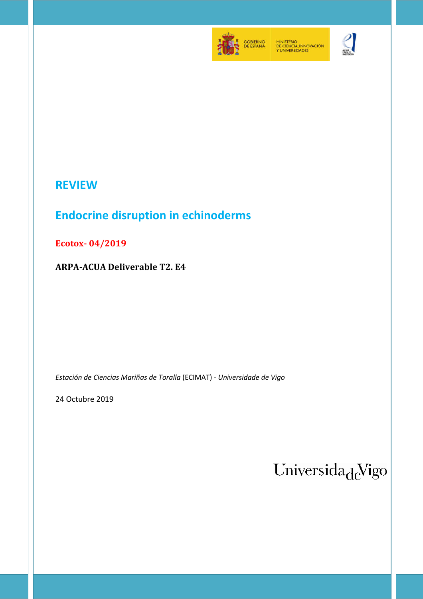

MINISTERIO<br>DE CIENCIA, INNOVACIÓN<br>Y UNIVERSIDADES



# **REVIEW**

# **Endocrine disruption in echinoderms**

**Ecotox- 04/2019** 

**ARPA-ACUA Deliverable T2. E4** 

*Estación de Ciencias Mariñas de Toralla* (ECIMAT) - *Universidade de Vigo*

24 Octubre 2019

Universida<sub>de</sub>Vigo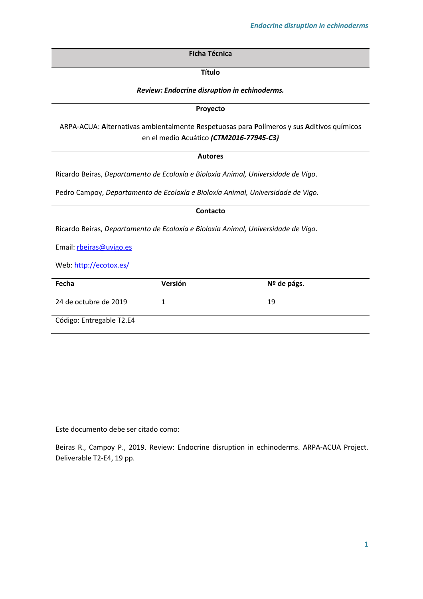**Ficha Técnica**

**Título**

*Review: Endocrine disruption in echinoderms.*

**Proyecto**

ARPA-ACUA: **A**lternativas ambientalmente **R**espetuosas para **P**olímeros y sus **A**ditivos químicos en el medio **A**cuático *(CTM2016-77945-C3)*

### **Autores**

Ricardo Beiras, *Departamento de Ecoloxía e Bioloxía Animal, Universidade de Vigo*.

Pedro Campoy, *Departamento de Ecoloxía e Bioloxía Animal, Universidade de Vigo.*

| Contacto                                                                          |         |             |
|-----------------------------------------------------------------------------------|---------|-------------|
| Ricardo Beiras, Departamento de Ecoloxía e Bioloxía Animal, Universidade de Vigo. |         |             |
| Email: rbeiras@uvigo.es                                                           |         |             |
| Web: http://ecotox.es/                                                            |         |             |
| Fecha                                                                             | Versión | Nº de págs. |
| 24 de octubre de 2019                                                             | 1       | 19          |
| Código: Entregable T2.E4                                                          |         |             |

Este documento debe ser citado como:

Beiras R., Campoy P., 2019. Review: Endocrine disruption in echinoderms. ARPA-ACUA Project. Deliverable T2-E4, 19 pp.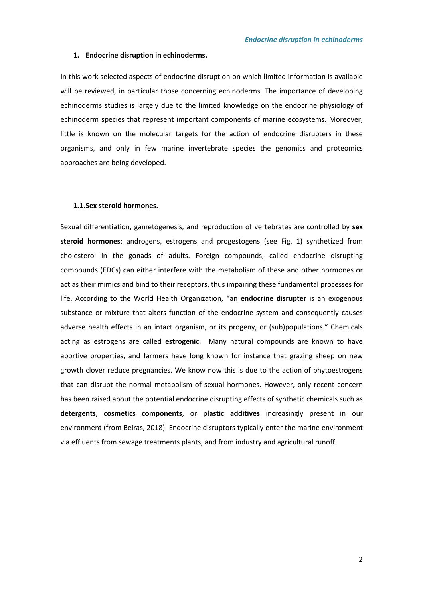#### **1. Endocrine disruption in echinoderms.**

In this work selected aspects of endocrine disruption on which limited information is available will be reviewed, in particular those concerning echinoderms. The importance of developing echinoderms studies is largely due to the limited knowledge on the endocrine physiology of echinoderm species that represent important components of marine ecosystems. Moreover, little is known on the molecular targets for the action of endocrine disrupters in these organisms, and only in few marine invertebrate species the genomics and proteomics approaches are being developed.

#### **1.1.Sex steroid hormones.**

Sexual differentiation, gametogenesis, and reproduction of vertebrates are controlled by **sex steroid hormones**: androgens, estrogens and progestogens (see Fig. 1) synthetized from cholesterol in the gonads of adults. Foreign compounds, called endocrine disrupting compounds (EDCs) can either interfere with the metabolism of these and other hormones or act as their mimics and bind to their receptors, thus impairing these fundamental processes for life. According to the World Health Organization, "an **endocrine disrupter** is an exogenous substance or mixture that alters function of the endocrine system and consequently causes adverse health effects in an intact organism, or its progeny, or (sub)populations." Chemicals acting as estrogens are called **estrogenic**. Many natural compounds are known to have abortive properties, and farmers have long known for instance that grazing sheep on new growth clover reduce pregnancies. We know now this is due to the action of phytoestrogens that can disrupt the normal metabolism of sexual hormones. However, only recent concern has been raised about the potential endocrine disrupting effects of synthetic chemicals such as **detergents**, **cosmetics components**, or **plastic additives** increasingly present in our environment (from Beiras, 2018). Endocrine disruptors typically enter the marine environment via effluents from sewage treatments plants, and from industry and agricultural runoff.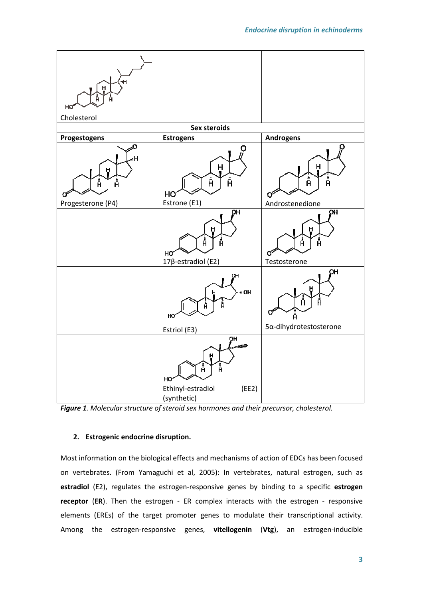



# **2. Estrogenic endocrine disruption.**

Most information on the biological effects and mechanisms of action of EDCs has been focused on vertebrates. (From Yamaguchi et al, 2005): In vertebrates, natural estrogen, such as **estradiol** (E2), regulates the estrogen-responsive genes by binding to a specific **estrogen receptor** (**ER**). Then the estrogen - ER complex interacts with the estrogen - responsive elements (EREs) of the target promoter genes to modulate their transcriptional activity. Among the estrogen-responsive genes, **vitellogenin** (**Vtg**), an estrogen-inducible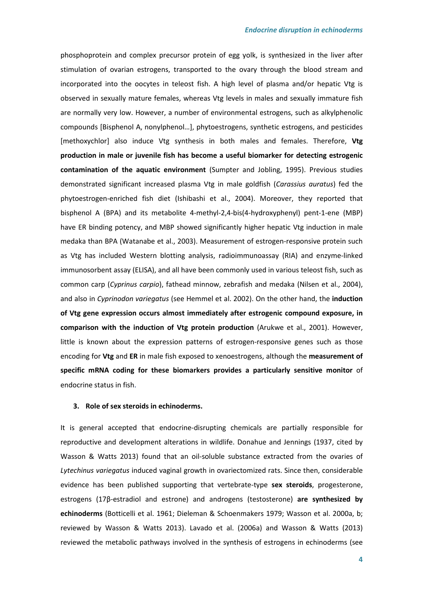phosphoprotein and complex precursor protein of egg yolk, is synthesized in the liver after stimulation of ovarian estrogens, transported to the ovary through the blood stream and incorporated into the oocytes in teleost fish. A high level of plasma and/or hepatic Vtg is observed in sexually mature females, whereas Vtg levels in males and sexually immature fish are normally very low. However, a number of environmental estrogens, such as alkylphenolic compounds [Bisphenol A, nonylphenol…], phytoestrogens, synthetic estrogens, and pesticides [methoxychlor] also induce Vtg synthesis in both males and females. Therefore, **Vtg production in male or juvenile fish has become a useful biomarker for detecting estrogenic contamination of the aquatic environment** (Sumpter and Jobling, 1995). Previous studies demonstrated significant increased plasma Vtg in male goldfish (*Carassius auratus*) fed the phytoestrogen-enriched fish diet (Ishibashi et al., 2004). Moreover, they reported that bisphenol A (BPA) and its metabolite 4-methyl-2,4-bis(4-hydroxyphenyl) pent-1-ene (MBP) have ER binding potency, and MBP showed significantly higher hepatic Vtg induction in male medaka than BPA (Watanabe et al., 2003). Measurement of estrogen-responsive protein such as Vtg has included Western blotting analysis, radioimmunoassay (RIA) and enzyme-linked immunosorbent assay (ELISA), and all have been commonly used in various teleost fish, such as common carp (*Cyprinus carpio*), fathead minnow, zebrafish and medaka (Nilsen et al., 2004), and also in *Cyprinodon variegatus* (see Hemmel et al. 2002). On the other hand, the **induction of Vtg gene expression occurs almost immediately after estrogenic compound exposure, in comparison with the induction of Vtg protein production** (Arukwe et al., 2001). However, little is known about the expression patterns of estrogen-responsive genes such as those encoding for **Vtg** and **ER** in male fish exposed to xenoestrogens, although the **measurement of specific mRNA coding for these biomarkers provides a particularly sensitive monitor** of endocrine status in fish.

#### **3. Role of sex steroids in echinoderms.**

It is general accepted that endocrine-disrupting chemicals are partially responsible for reproductive and development alterations in wildlife. Donahue and Jennings (1937, cited by Wasson & Watts 2013) found that an oil-soluble substance extracted from the ovaries of *Lytechinus variegatus* induced vaginal growth in ovariectomized rats. Since then, considerable evidence has been published supporting that vertebrate-type **sex steroids**, progesterone, estrogens (17β-estradiol and estrone) and androgens (testosterone) **are synthesized by echinoderms** (Botticelli et al. 1961; Dieleman & Schoenmakers 1979; Wasson et al. 2000a, b; reviewed by Wasson & Watts 2013). Lavado et al. (2006a) and Wasson & Watts (2013) reviewed the metabolic pathways involved in the synthesis of estrogens in echinoderms (see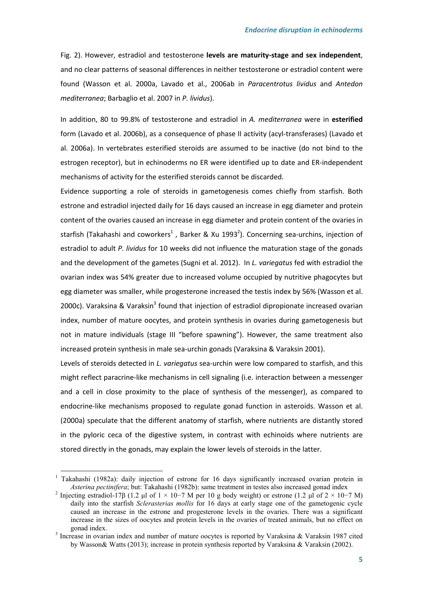Fig. 2). However, estradiol and testosterone **levels are maturity-stage and sex independent**, and no clear patterns of seasonal differences in neither testosterone or estradiol content were found (Wasson et al. 2000a, Lavado et al., 2006ab in *Paracentrotus lividus* and *Antedon mediterranea*; Barbaglio et al. 2007 in *P. lividus*).

In addition, 80 to 99.8% of testosterone and estradiol in *A. mediterranea* were in **esterified** form (Lavado et al. 2006b), as a consequence of phase II activity (acyl-transferases) (Lavado et al. 2006a). In vertebrates esterified steroids are assumed to be inactive (do not bind to the estrogen receptor), but in echinoderms no ER were identified up to date and ER-independent mechanisms of activity for the esterified steroids cannot be discarded.

Evidence supporting a role of steroids in gametogenesis comes chiefly from starfish. Both estrone and estradiol injected daily for 16 days caused an increase in egg diameter and protein content of the ovaries caused an increase in egg diameter and protein content of the ovaries in starfish (Takahashi and coworkers<sup>1</sup>, Barker & Xu 1993<sup>2</sup>). Concerning sea-urchins, injection of estradiol to adult *P. lividus* for 10 weeks did not influence the maturation stage of the gonads and the development of the gametes (Sugni et al. 2012). In *L. variegatus* fed with estradiol the ovarian index was 54% greater due to increased volume occupied by nutritive phagocytes but egg diameter was smaller, while progesterone increased the testis index by 56% (Wasson et al. 2000c). Varaksina & Varaksin<sup>3</sup> found that injection of estradiol dipropionate increased ovarian index, number of mature oocytes, and protein synthesis in ovaries during gametogenesis but not in mature individuals (stage III "before spawning"). However, the same treatment also increased protein synthesis in male sea-urchin gonads (Varaksina & Varaksin 2001).

Levels of steroids detected in *L. variegatus* sea-urchin were low compared to starfish, and this might reflect paracrine-like mechanisms in cell signaling (i.e. interaction between a messenger and a cell in close proximity to the place of synthesis of the messenger), as compared to endocrine-like mechanisms proposed to regulate gonad function in asteroids. Wasson et al. (2000a) speculate that the different anatomy of starfish, where nutrients are distantly stored in the pyloric ceca of the digestive system, in contrast with echinoids where nutrients are stored directly in the gonads, may explain the lower levels of steroids in the latter.

l

<sup>1</sup> Takahashi (1982a): daily injection of estrone for 16 days significantly increased ovarian protein in *Asterina pectinifera*; but: Takahashi (1982b): same treatment in testes also increased gonad index

<sup>&</sup>lt;sup>2</sup> Injecting estradiol-17β (1.2 μl of 1 × 10−7 M per 10 g body weight) or estrone (1.2 μl of 2 × 10−7 M) daily into the starfish *Sclerasterias mollis* for 16 days at early stage one of the gametogenic cycle caused an increase in the estrone and progesterone levels in the ovaries. There was a significant increase in the sizes of oocytes and protein levels in the ovaries of treated animals, but no effect on gonad index.

<sup>&</sup>lt;sup>3</sup> Increase in ovarian index and number of mature oocytes is reported by Varaksina & Varaksin 1987 cited by Wasson& Watts (2013); increase in protein synthesis reported by Varaksina & Varaksin (2002).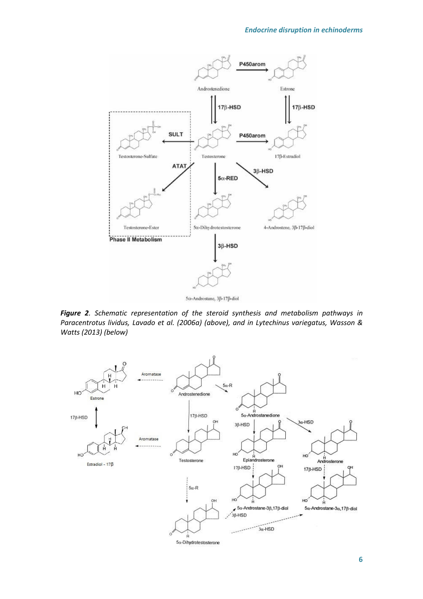

*Figure 2. Schematic representation of the steroid synthesis and metabolism pathways in Paracentrotus lividus, Lavado et al. (2006a) (above), and in Lytechinus variegatus, Wasson & Watts (2013) (below)* 

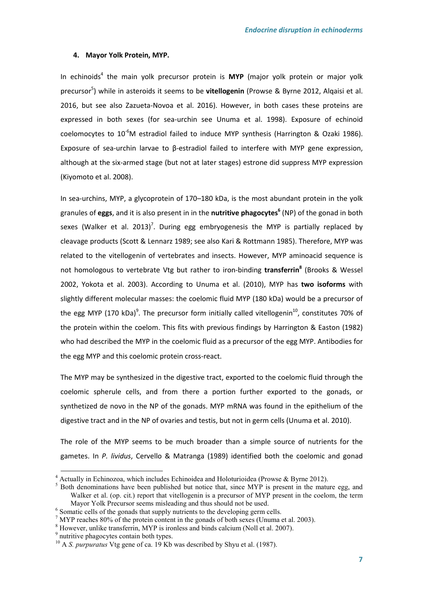#### **4. Mayor Yolk Protein, MYP.**

In echinoids<sup>4</sup> the main yolk precursor protein is MYP (major yolk protein or major yolk precursor<sup>5</sup>) while in asteroids it seems to be **vitellogenin** (Prowse & Byrne 2012, Alqaisi et al. 2016, but see also Zazueta-Novoa et al. 2016). However, in both cases these proteins are expressed in both sexes (for sea-urchin see Unuma et al. 1998). Exposure of echinoid coelomocytes to  $10^{-6}$ M estradiol failed to induce MYP synthesis (Harrington & Ozaki 1986). Exposure of sea-urchin larvae to β-estradiol failed to interfere with MYP gene expression, although at the six-armed stage (but not at later stages) estrone did suppress MYP expression (Kiyomoto et al. 2008).

In sea-urchins, MYP, a glycoprotein of 170–180 kDa, is the most abundant protein in the yolk granules of **eggs**, and it is also present in in the **nutritive phagocytes<sup>6</sup>** (NP) of the gonad in both sexes (Walker et al. 2013)<sup>7</sup>. During egg embryogenesis the MYP is partially replaced by cleavage products (Scott & Lennarz 1989; see also Kari & Rottmann 1985). Therefore, MYP was related to the vitellogenin of vertebrates and insects. However, MYP aminoacid sequence is not homologous to vertebrate Vtg but rather to iron-binding **transferrin<sup>8</sup>** (Brooks & Wessel 2002, Yokota et al. 2003). According to Unuma et al. (2010), MYP has **two isoforms** with slightly different molecular masses: the coelomic fluid MYP (180 kDa) would be a precursor of the egg MYP (170 kDa)<sup>9</sup>. The precursor form initially called vitellogenin<sup>10</sup>, constitutes 70% of the protein within the coelom. This fits with previous findings by Harrington & Easton (1982) who had described the MYP in the coelomic fluid as a precursor of the egg MYP. Antibodies for the egg MYP and this coelomic protein cross-react.

The MYP may be synthesized in the digestive tract, exported to the coelomic fluid through the coelomic spherule cells, and from there a portion further exported to the gonads, or synthetized de novo in the NP of the gonads. MYP mRNA was found in the epithelium of the digestive tract and in the NP of ovaries and testis, but not in germ cells (Unuma et al. 2010).

The role of the MYP seems to be much broader than a simple source of nutrients for the gametes. In *P. lividus*, Cervello & Matranga (1989) identified both the coelomic and gonad

l

 $4$  Actually in Echinozoa, which includes Echinoidea and Holoturioidea (Prowse & Byrne 2012).

<sup>&</sup>lt;sup>5</sup> Both denominations have been published but notice that, since MYP is present in the mature egg, and Walker et al. (op. cit.) report that vitellogenin is a precursor of MYP present in the coelom, the term Mayor Yolk Precursor seems misleading and thus should not be used.

<sup>&</sup>lt;sup>6</sup> Somatic cells of the gonads that supply nutrients to the developing germ cells.

<sup>&</sup>lt;sup>7</sup> MYP reaches 80% of the protein content in the gonads of both sexes (Unuma et al. 2003).

<sup>&</sup>lt;sup>8</sup> However, unlike transferrin, MYP is ironless and binds calcium (Noll et al. 2007).

<sup>&</sup>lt;sup>9</sup> nutritive phagocytes contain both types.

<sup>&</sup>lt;sup>10</sup> A *S. purpuratus* Vtg gene of ca. 19 Kb was described by Shyu et al. (1987).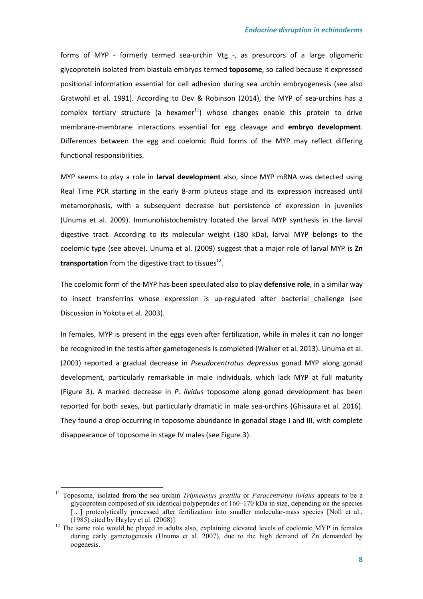forms of MYP - formerly termed sea-urchin Vtg -, as presurcors of a large oligomeric glycoprotein isolated from blastula embryos termed **toposome**, so called because it expressed positional information essential for cell adhesion during sea urchin embryogenesis (see also Gratwohl et al. 1991). According to Dev & Robinson (2014), the MYP of sea-urchins has a complex tertiary structure (a hexamer<sup>11</sup>) whose changes enable this protein to drive membrane-membrane interactions essential for egg cleavage and **embryo development**. Differences between the egg and coelomic fluid forms of the MYP may reflect differing functional responsibilities.

MYP seems to play a role in **larval development** also, since MYP mRNA was detected using Real Time PCR starting in the early 8-arm pluteus stage and its expression increased until metamorphosis, with a subsequent decrease but persistence of expression in juveniles (Unuma et al. 2009). Immunohistochemistry located the larval MYP synthesis in the larval digestive tract. According to its molecular weight (180 kDa), larval MYP belongs to the coelomic type (see above). Unuma et al. (2009) suggest that a major role of larval MYP is **Zn transportation** from the digestive tract to tissues<sup>12</sup>.

The coelomic form of the MYP has been speculated also to play **defensive role**, in a similar way to insect transferrins whose expression is up-regulated after bacterial challenge (see Discussion in Yokota et al. 2003).

In females, MYP is present in the eggs even after fertilization, while in males it can no longer be recognized in the testis after gametogenesis is completed (Walker et al. 2013). Unuma et al. (2003) reported a gradual decrease in *Pseudocentrotus depressus* gonad MYP along gonad development, particularly remarkable in male individuals, which lack MYP at full maturity (Figure 3). A marked decrease in *P. lividus* toposome along gonad development has been reported for both sexes, but particularly dramatic in male sea-urchins (Ghisaura et al. 2016). They found a drop occurring in toposome abundance in gonadal stage I and III, with complete disappearance of toposome in stage IV males (see Figure 3).

l

<sup>11</sup> Toposome, isolated from the sea urchin *Tripneustus gratilla* or *Paracentrotus lividus* appears to be a glycoprotein composed of six identical polypeptides of 160–170 kDa in size, depending on the species [...] proteolytically processed after fertilization into smaller molecular-mass species [Noll et al.,  $(1985)$  cited by Hayley et al.  $(2008)$ ].

<sup>&</sup>lt;sup>12</sup> The same role would be played in adults also, explaining elevated levels of coelomic MYP in females during early gametogenesis (Unuma et al. 2007), due to the high demand of Zn demanded by oogenesis.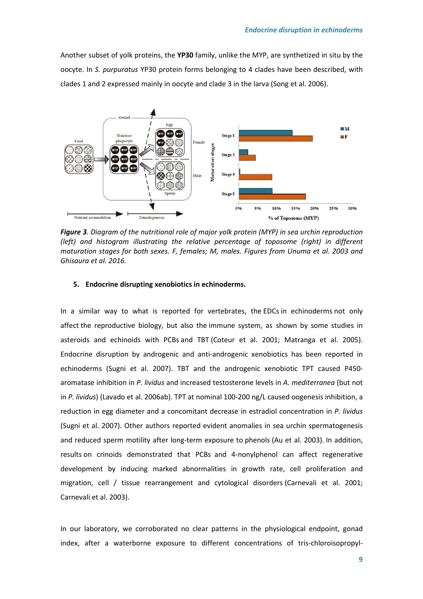Another subset of yolk proteins, the **YP30** family, unlike the MYP, are synthetized in situ by the oocyte. In *S. purpuratus* YP30 protein forms belonging to 4 clades have been described, with clades 1 and 2 expressed mainly in oocyte and clade 3 in the larva (Song et al. 2006).



*Figure 3. Diagram of the nutritional role of major yolk protein (MYP) in sea urchin reproduction (left) and histogram illustrating the relative percentage of toposome (right) in different maturation stages for both sexes. F, females; M, males. Figures from Unuma et al. 2003 and Ghisaura et al. 2016.* 

### **5. Endocrine disrupting xenobiotics in echinoderms.**

In a similar way to what is reported for vertebrates, the EDCs in echinoderms not only affect the reproductive biology, but also the immune system, as shown by some studies in asteroids and echinoids with PCBs and TBT (Coteur et al. 2001; Matranga et al. 2005). Endocrine disruption by androgenic and anti-androgenic xenobiotics has been reported in echinoderms (Sugni et al. 2007). TBT and the androgenic xenobiotic TPT caused P450 aromatase inhibition in *P. lividus* and increased testosterone levels in *A. mediterranea* (but not in *P. lividus*) (Lavado et al. 2006ab). TPT at nominal 100-200 ng/L caused oogenesis inhibition, a reduction in egg diameter and a concomitant decrease in estradiol concentration in *P. lividus* (Sugni et al. 2007). Other authors reported evident anomalies in sea urchin spermatogenesis and reduced sperm motility after long-term exposure to phenols (Au et al. 2003). In addition, results on crinoids demonstrated that PCBs and 4-nonylphenol can affect regenerative development by inducing marked abnormalities in growth rate, cell proliferation and migration, cell / tissue rearrangement and cytological disorders (Carnevali et al. 2001; Carnevali et al. 2003).

In our laboratory, we corroborated no clear patterns in the physiological endpoint, gonad index, after a waterborne exposure to different concentrations of tris-chloroisopropyl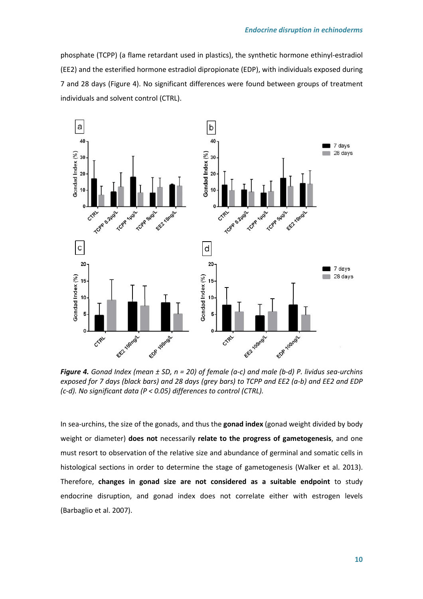phosphate (TCPP) (a flame retardant used in plastics), the synthetic hormone ethinyl-estradiol (EE2) and the esterified hormone estradiol dipropionate (EDP), with individuals exposed during 7 and 28 days (Figure 4). No significant differences were found between groups of treatment individuals and solvent control (CTRL).



*Figure 4. Gonad Index (mean ± SD, n = 20) of female (a-c) and male (b-d) P. lividus sea-urchins exposed for 7 days (black bars) and 28 days (grey bars) to TCPP and EE2 (a-b) and EE2 and EDP (c-d). No significant data (P < 0.05) differences to control (CTRL).* 

In sea-urchins, the size of the gonads, and thus the **gonad index** (gonad weight divided by body weight or diameter) **does not** necessarily **relate to the progress of gametogenesis**, and one must resort to observation of the relative size and abundance of germinal and somatic cells in histological sections in order to determine the stage of gametogenesis (Walker et al. 2013). Therefore, **changes in gonad size are not considered as a suitable endpoint** to study endocrine disruption, and gonad index does not correlate either with estrogen levels (Barbaglio et al. 2007).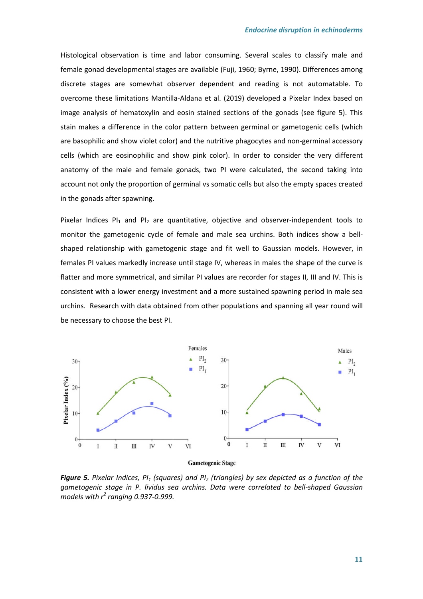Histological observation is time and labor consuming. Several scales to classify male and female gonad developmental stages are available (Fuji, 1960; Byrne, 1990). Differences among discrete stages are somewhat observer dependent and reading is not automatable. To overcome these limitations Mantilla-Aldana et al. (2019) developed a Pixelar Index based on image analysis of hematoxylin and eosin stained sections of the gonads (see figure 5). This stain makes a difference in the color pattern between germinal or gametogenic cells (which are basophilic and show violet color) and the nutritive phagocytes and non-germinal accessory cells (which are eosinophilic and show pink color). In order to consider the very different anatomy of the male and female gonads, two PI were calculated, the second taking into account not only the proportion of germinal vs somatic cells but also the empty spaces created in the gonads after spawning.

Pixelar Indices PI<sub>1</sub> and PI<sub>2</sub> are quantitative, objective and observer-independent tools to monitor the gametogenic cycle of female and male sea urchins. Both indices show a bellshaped relationship with gametogenic stage and fit well to Gaussian models. However, in females PI values markedly increase until stage IV, whereas in males the shape of the curve is flatter and more symmetrical, and similar PI values are recorder for stages II, III and IV. This is consistent with a lower energy investment and a more sustained spawning period in male sea urchins. Research with data obtained from other populations and spanning all year round will be necessary to choose the best PI.



**Gametogenic Stage** 

*Figure 5. Pixelar Indices, PI1 (squares) and PI2 (triangles) by sex depicted as a function of the gametogenic stage in P. lividus sea urchins. Data were correlated to bell-shaped Gaussian models with r<sup>2</sup> ranging 0.937-0.999.*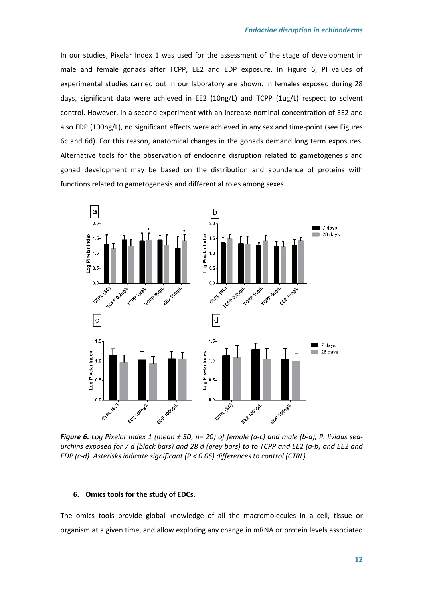In our studies, Pixelar Index 1 was used for the assessment of the stage of development in male and female gonads after TCPP, EE2 and EDP exposure. In Figure 6, PI values of experimental studies carried out in our laboratory are shown. In females exposed during 28 days, significant data were achieved in EE2 (10ng/L) and TCPP (1ug/L) respect to solvent control. However, in a second experiment with an increase nominal concentration of EE2 and also EDP (100ng/L), no significant effects were achieved in any sex and time-point (see Figures 6c and 6d). For this reason, anatomical changes in the gonads demand long term exposures. Alternative tools for the observation of endocrine disruption related to gametogenesis and gonad development may be based on the distribution and abundance of proteins with functions related to gametogenesis and differential roles among sexes.



*Figure 6. Log Pixelar Index 1 (mean ± SD, n= 20) of female (a-c) and male (b-d), P. lividus seaurchins exposed for 7 d (black bars) and 28 d (grey bars) to to TCPP and EE2 (a-b) and EE2 and EDP (c-d). Asterisks indicate significant (P < 0.05) differences to control (CTRL).* 

#### **6. Omics tools for the study of EDCs.**

The omics tools provide global knowledge of all the macromolecules in a cell, tissue or organism at a given time, and allow exploring any change in mRNA or protein levels associated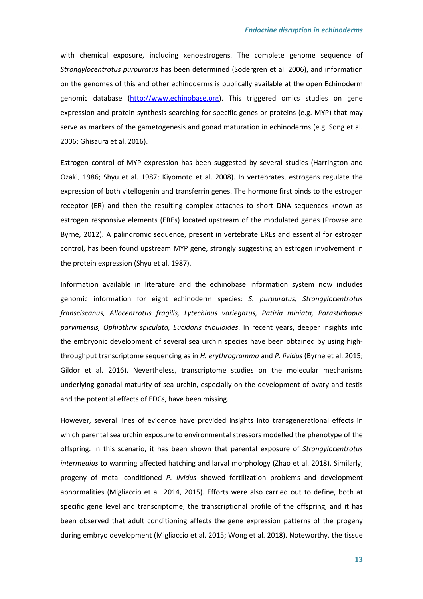with chemical exposure, including xenoestrogens. The complete genome sequence of *Strongylocentrotus purpuratus* has been determined (Sodergren et al. 2006), and information on the genomes of this and other echinoderms is publically available at the open Echinoderm genomic database (http://www.echinobase.org). This triggered omics studies on gene expression and protein synthesis searching for specific genes or proteins (e.g. MYP) that may serve as markers of the gametogenesis and gonad maturation in echinoderms (e.g. Song et al. 2006; Ghisaura et al. 2016).

Estrogen control of MYP expression has been suggested by several studies (Harrington and Ozaki, 1986; Shyu et al. 1987; Kiyomoto et al. 2008). In vertebrates, estrogens regulate the expression of both vitellogenin and transferrin genes. The hormone first binds to the estrogen receptor (ER) and then the resulting complex attaches to short DNA sequences known as estrogen responsive elements (EREs) located upstream of the modulated genes (Prowse and Byrne, 2012). A palindromic sequence, present in vertebrate EREs and essential for estrogen control, has been found upstream MYP gene, strongly suggesting an estrogen involvement in the protein expression (Shyu et al. 1987).

Information available in literature and the echinobase information system now includes genomic information for eight echinoderm species: *S. purpuratus, Strongylocentrotus fransciscanus, Allocentrotus fragilis, Lytechinus variegatus, Patiria miniata, Parastichopus parvimensis, Ophiothrix spiculata, Eucidaris tribuloides*. In recent years, deeper insights into the embryonic development of several sea urchin species have been obtained by using highthroughput transcriptome sequencing as in *H. erythrogramma* and *P. lividus* (Byrne et al. 2015; Gildor et al. 2016). Nevertheless, transcriptome studies on the molecular mechanisms underlying gonadal maturity of sea urchin, especially on the development of ovary and testis and the potential effects of EDCs, have been missing.

However, several lines of evidence have provided insights into transgenerational effects in which parental sea urchin exposure to environmental stressors modelled the phenotype of the offspring. In this scenario, it has been shown that parental exposure of *Strongylocentrotus intermedius* to warming affected hatching and larval morphology (Zhao et al. 2018). Similarly, progeny of metal conditioned *P. lividus* showed fertilization problems and development abnormalities (Migliaccio et al. 2014, 2015). Efforts were also carried out to define, both at specific gene level and transcriptome, the transcriptional profile of the offspring, and it has been observed that adult conditioning affects the gene expression patterns of the progeny during embryo development (Migliaccio et al. 2015; Wong et al. 2018). Noteworthy, the tissue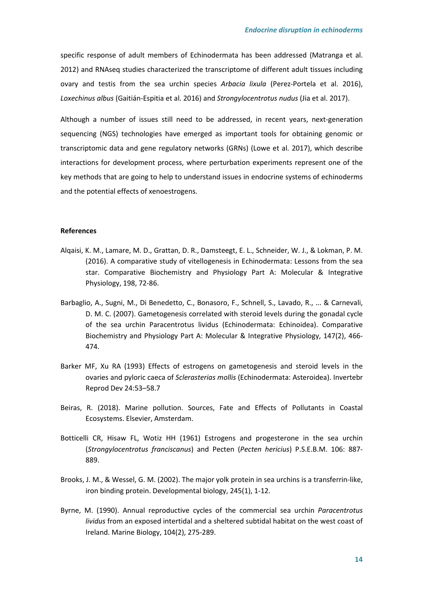specific response of adult members of Echinodermata has been addressed (Matranga et al. 2012) and RNAseq studies characterized the transcriptome of different adult tissues including ovary and testis from the sea urchin species *Arbacia lixula* (Perez-Portela et al. 2016), *Loxechinus albus* (Gaitián-Espitia et al. 2016) and *Strongylocentrotus nudus* (Jia et al. 2017).

Although a number of issues still need to be addressed, in recent years, next-generation sequencing (NGS) technologies have emerged as important tools for obtaining genomic or transcriptomic data and gene regulatory networks (GRNs) (Lowe et al. 2017), which describe interactions for development process, where perturbation experiments represent one of the key methods that are going to help to understand issues in endocrine systems of echinoderms and the potential effects of xenoestrogens.

## **References**

- Alqaisi, K. M., Lamare, M. D., Grattan, D. R., Damsteegt, E. L., Schneider, W. J., & Lokman, P. M. (2016). A comparative study of vitellogenesis in Echinodermata: Lessons from the sea star. Comparative Biochemistry and Physiology Part A: Molecular & Integrative Physiology, 198, 72-86.
- Barbaglio, A., Sugni, M., Di Benedetto, C., Bonasoro, F., Schnell, S., Lavado, R., ... & Carnevali, D. M. C. (2007). Gametogenesis correlated with steroid levels during the gonadal cycle of the sea urchin Paracentrotus lividus (Echinodermata: Echinoidea). Comparative Biochemistry and Physiology Part A: Molecular & Integrative Physiology, 147(2), 466- 474.
- Barker MF, Xu RA (1993) Effects of estrogens on gametogenesis and steroid levels in the ovaries and pyloric caeca of *Sclerasterias mollis* (Echinodermata: Asteroidea). Invertebr Reprod Dev 24:53–58.7
- Beiras, R. (2018). Marine pollution. Sources, Fate and Effects of Pollutants in Coastal Ecosystems. Elsevier, Amsterdam.
- Botticelli CR, Hisaw FL, Wotiz HH (1961) Estrogens and progesterone in the sea urchin (*Strongylocentrotus franciscanus*) and Pecten (*Pecten hericius*) P.S.E.B.M. 106: 887- 889.
- Brooks, J. M., & Wessel, G. M. (2002). The major yolk protein in sea urchins is a transferrin-like, iron binding protein. Developmental biology, 245(1), 1-12.
- Byrne, M. (1990). Annual reproductive cycles of the commercial sea urchin *Paracentrotus lividus* from an exposed intertidal and a sheltered subtidal habitat on the west coast of Ireland. Marine Biology, 104(2), 275-289.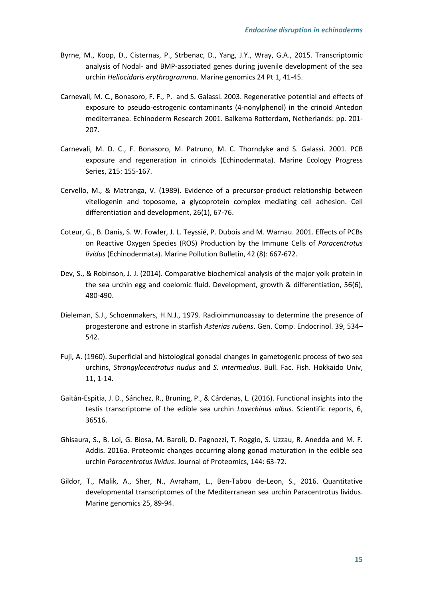- Byrne, M., Koop, D., Cisternas, P., Strbenac, D., Yang, J.Y., Wray, G.A., 2015. Transcriptomic analysis of Nodal- and BMP-associated genes during juvenile development of the sea urchin *Heliocidaris erythrogramma*. Marine genomics 24 Pt 1, 41-45.
- Carnevali, M. C., Bonasoro, F. F., P. and S. Galassi. 2003. Regenerative potential and effects of exposure to pseudo-estrogenic contaminants (4-nonylphenol) in the crinoid Antedon mediterranea. Echinoderm Research 2001. Balkema Rotterdam, Netherlands: pp. 201- 207.
- Carnevali, M. D. C., F. Bonasoro, M. Patruno, M. C. Thorndyke and S. Galassi. 2001. PCB exposure and regeneration in crinoids (Echinodermata). Marine Ecology Progress Series, 215: 155-167.
- Cervello, M., & Matranga, V. (1989). Evidence of a precursor-product relationship between vitellogenin and toposome, a glycoprotein complex mediating cell adhesion. Cell differentiation and development, 26(1), 67-76.
- Coteur, G., B. Danis, S. W. Fowler, J. L. Teyssié, P. Dubois and M. Warnau. 2001. Effects of PCBs on Reactive Oxygen Species (ROS) Production by the Immune Cells of *Paracentrotus lividus* (Echinodermata). Marine Pollution Bulletin, 42 (8): 667-672.
- Dev, S., & Robinson, J. J. (2014). Comparative biochemical analysis of the major yolk protein in the sea urchin egg and coelomic fluid. Development, growth & differentiation, 56(6), 480-490.
- Dieleman, S.J., Schoenmakers, H.N.J., 1979. Radioimmunoassay to determine the presence of progesterone and estrone in starfish *Asterias rubens*. Gen. Comp. Endocrinol. 39, 534– 542.
- Fuji, A. (1960). Superficial and histological gonadal changes in gametogenic process of two sea urchins, *Strongylocentrotus nudus* and *S. intermedius*. Bull. Fac. Fish. Hokkaido Univ, 11, 1-14.
- Gaitán-Espitia, J. D., Sánchez, R., Bruning, P., & Cárdenas, L. (2016). Functional insights into the testis transcriptome of the edible sea urchin *Loxechinus albus*. Scientific reports, 6, 36516.
- Ghisaura, S., B. Loi, G. Biosa, M. Baroli, D. Pagnozzi, T. Roggio, S. Uzzau, R. Anedda and M. F. Addis. 2016a. Proteomic changes occurring along gonad maturation in the edible sea urchin *Paracentrotus lividus*. Journal of Proteomics, 144: 63-72.
- Gildor, T., Malik, A., Sher, N., Avraham, L., Ben-Tabou de-Leon, S., 2016. Quantitative developmental transcriptomes of the Mediterranean sea urchin Paracentrotus lividus. Marine genomics 25, 89-94.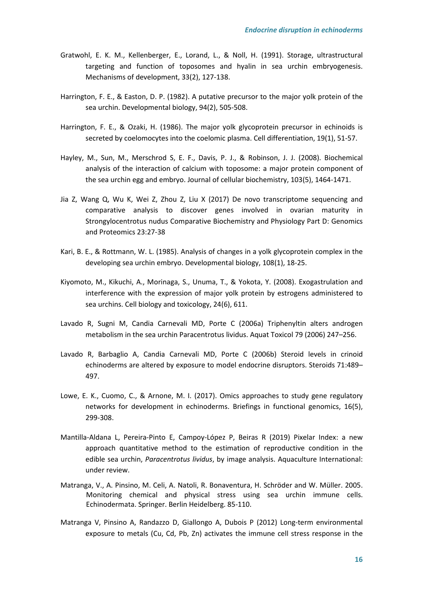- Gratwohl, E. K. M., Kellenberger, E., Lorand, L., & Noll, H. (1991). Storage, ultrastructural targeting and function of toposomes and hyalin in sea urchin embryogenesis. Mechanisms of development, 33(2), 127-138.
- Harrington, F. E., & Easton, D. P. (1982). A putative precursor to the major yolk protein of the sea urchin. Developmental biology, 94(2), 505-508.
- Harrington, F. E., & Ozaki, H. (1986). The major yolk glycoprotein precursor in echinoids is secreted by coelomocytes into the coelomic plasma. Cell differentiation, 19(1), 51-57.
- Hayley, M., Sun, M., Merschrod S, E. F., Davis, P. J., & Robinson, J. J. (2008). Biochemical analysis of the interaction of calcium with toposome: a major protein component of the sea urchin egg and embryo. Journal of cellular biochemistry, 103(5), 1464-1471.
- Jia Z, Wang Q, Wu K, Wei Z, Zhou Z, Liu X (2017) De novo transcriptome sequencing and comparative analysis to discover genes involved in ovarian maturity in Strongylocentrotus nudus Comparative Biochemistry and Physiology Part D: Genomics and Proteomics 23:27-38
- Kari, B. E., & Rottmann, W. L. (1985). Analysis of changes in a yolk glycoprotein complex in the developing sea urchin embryo. Developmental biology, 108(1), 18-25.
- Kiyomoto, M., Kikuchi, A., Morinaga, S., Unuma, T., & Yokota, Y. (2008). Exogastrulation and interference with the expression of major yolk protein by estrogens administered to sea urchins. Cell biology and toxicology, 24(6), 611.
- Lavado R, Sugni M, Candia Carnevali MD, Porte C (2006a) Triphenyltin alters androgen metabolism in the sea urchin Paracentrotus lividus. Aquat Toxicol 79 (2006) 247–256.
- Lavado R, Barbaglio A, Candia Carnevali MD, Porte C (2006b) Steroid levels in crinoid echinoderms are altered by exposure to model endocrine disruptors. Steroids 71:489– 497.
- Lowe, E. K., Cuomo, C., & Arnone, M. I. (2017). Omics approaches to study gene regulatory networks for development in echinoderms. Briefings in functional genomics, 16(5), 299-308.
- Mantilla-Aldana L, Pereira-Pinto E, Campoy-López P, Beiras R (2019) Pixelar Index: a new approach quantitative method to the estimation of reproductive condition in the edible sea urchin, *Paracentrotus lividus*, by image analysis. Aquaculture International: under review.
- Matranga, V., A. Pinsino, M. Celi, A. Natoli, R. Bonaventura, H. Schröder and W. Müller. 2005. Monitoring chemical and physical stress using sea urchin immune cells. Echinodermata. Springer. Berlin Heidelberg. 85-110.
- Matranga V, Pinsino A, Randazzo D, Giallongo A, Dubois P (2012) Long-term environmental exposure to metals (Cu, Cd, Pb, Zn) activates the immune cell stress response in the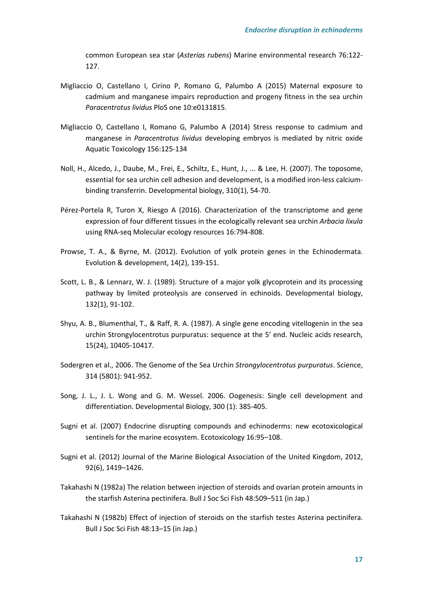common European sea star (*Asterias rubens*) Marine environmental research 76:122- 127.

- Migliaccio O, Castellano I, Cirino P, Romano G, Palumbo A (2015) Maternal exposure to cadmium and manganese impairs reproduction and progeny fitness in the sea urchin *Paracentrotus lividus* PloS one 10:e0131815.
- Migliaccio O, Castellano I, Romano G, Palumbo A (2014) Stress response to cadmium and manganese in *Paracentrotus lividus* developing embryos is mediated by nitric oxide Aquatic Toxicology 156:125-134
- Noll, H., Alcedo, J., Daube, M., Frei, E., Schiltz, E., Hunt, J., ... & Lee, H. (2007). The toposome, essential for sea urchin cell adhesion and development, is a modified iron-less calciumbinding transferrin. Developmental biology, 310(1), 54-70.
- Pérez-Portela R, Turon X, Riesgo A (2016). Characterization of the transcriptome and gene expression of four different tissues in the ecologically relevant sea urchin *Arbacia lixula* using RNA-seq Molecular ecology resources 16:794-808.
- Prowse, T. A., & Byrne, M. (2012). Evolution of yolk protein genes in the Echinodermata. Evolution & development, 14(2), 139-151.
- Scott, L. B., & Lennarz, W. J. (1989). Structure of a major yolk glycoprotein and its processing pathway by limited proteolysis are conserved in echinoids. Developmental biology, 132(1), 91-102.
- Shyu, A. B., Blumenthal, T., & Raff, R. A. (1987). A single gene encoding vitellogenin in the sea urchin Strongylocentrotus purpuratus: sequence at the 5′ end. Nucleic acids research, 15(24), 10405-10417.
- Sodergren et al., 2006. The Genome of the Sea Urchin *Strongylocentrotus purpuratus*. Science, 314 (5801): 941-952.
- Song, J. L., J. L. Wong and G. M. Wessel. 2006. Oogenesis: Single cell development and differentiation. Developmental Biology, 300 (1): 385-405.
- Sugni et al. (2007) Endocrine disrupting compounds and echinoderms: new ecotoxicological sentinels for the marine ecosystem. Ecotoxicology 16:95–108.
- Sugni et al. (2012) Journal of the Marine Biological Association of the United Kingdom, 2012, 92(6), 1419–1426.
- Takahashi N (1982a) The relation between injection of steroids and ovarian protein amounts in the starfish Asterina pectinifera. Bull J Soc Sci Fish 48:509–511 (in Jap.)
- Takahashi N (1982b) Effect of injection of steroids on the starfish testes Asterina pectinifera. Bull J Soc Sci Fish 48:13–15 (in Jap.)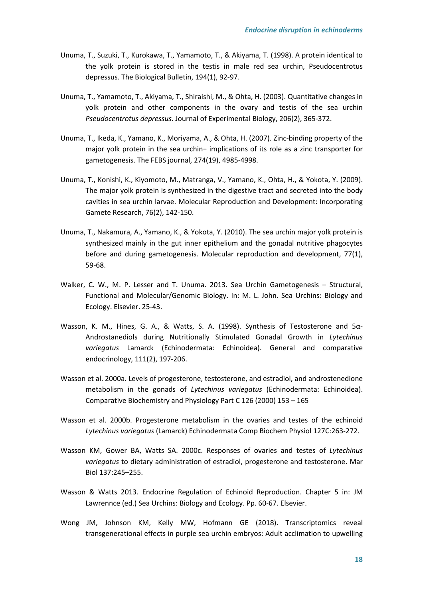- Unuma, T., Suzuki, T., Kurokawa, T., Yamamoto, T., & Akiyama, T. (1998). A protein identical to the yolk protein is stored in the testis in male red sea urchin, Pseudocentrotus depressus. The Biological Bulletin, 194(1), 92-97.
- Unuma, T., Yamamoto, T., Akiyama, T., Shiraishi, M., & Ohta, H. (2003). Quantitative changes in yolk protein and other components in the ovary and testis of the sea urchin *Pseudocentrotus depressus*. Journal of Experimental Biology, 206(2), 365-372.
- Unuma, T., Ikeda, K., Yamano, K., Moriyama, A., & Ohta, H. (2007). Zinc-binding property of the major yolk protein in the sea urchin− implications of its role as a zinc transporter for gametogenesis. The FEBS journal, 274(19), 4985-4998.
- Unuma, T., Konishi, K., Kiyomoto, M., Matranga, V., Yamano, K., Ohta, H., & Yokota, Y. (2009). The major yolk protein is synthesized in the digestive tract and secreted into the body cavities in sea urchin larvae. Molecular Reproduction and Development: Incorporating Gamete Research, 76(2), 142-150.
- Unuma, T., Nakamura, A., Yamano, K., & Yokota, Y. (2010). The sea urchin major yolk protein is synthesized mainly in the gut inner epithelium and the gonadal nutritive phagocytes before and during gametogenesis. Molecular reproduction and development, 77(1), 59-68.
- Walker, C. W., M. P. Lesser and T. Unuma. 2013. Sea Urchin Gametogenesis Structural, Functional and Molecular/Genomic Biology. In: M. L. John. Sea Urchins: Biology and Ecology. Elsevier. 25-43.
- Wasson, K. M., Hines, G. A., & Watts, S. A. (1998). Synthesis of Testosterone and 5α-Androstanediols during Nutritionally Stimulated Gonadal Growth in *Lytechinus variegatus* Lamarck (Echinodermata: Echinoidea). General and comparative endocrinology, 111(2), 197-206.
- Wasson et al. 2000a. Levels of progesterone, testosterone, and estradiol, and androstenedione metabolism in the gonads of *Lytechinus variegatus* (Echinodermata: Echinoidea). Comparative Biochemistry and Physiology Part C 126 (2000) 153 – 165
- Wasson et al. 2000b. Progesterone metabolism in the ovaries and testes of the echinoid *Lytechinus variegatus* (Lamarck) Echinodermata Comp Biochem Physiol 127C:263-272.
- Wasson KM, Gower BA, Watts SA. 2000c. Responses of ovaries and testes of *Lytechinus variegatus* to dietary administration of estradiol, progesterone and testosterone. Mar Biol 137:245–255.
- Wasson & Watts 2013. Endocrine Regulation of Echinoid Reproduction. Chapter 5 in: JM Lawrennce (ed.) Sea Urchins: Biology and Ecology. Pp. 60-67. Elsevier.
- Wong JM, Johnson KM, Kelly MW, Hofmann GE (2018). Transcriptomics reveal transgenerational effects in purple sea urchin embryos: Adult acclimation to upwelling